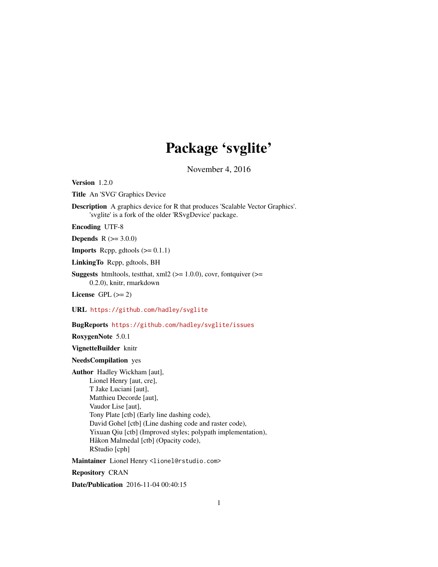# Package 'svglite'

November 4, 2016

<span id="page-0-0"></span>Version 1.2.0

Title An 'SVG' Graphics Device

Description A graphics device for R that produces 'Scalable Vector Graphics'. 'svglite' is a fork of the older 'RSvgDevice' package.

Encoding UTF-8

**Depends**  $R$  ( $> = 3.0.0$ )

**Imports** Rcpp, gdtools  $(>= 0.1.1)$ 

LinkingTo Rcpp, gdtools, BH

**Suggests** htmltools, testthat,  $xml2$  ( $>= 1.0.0$ ), covr, fontquiver ( $>=$ 0.2.0), knitr, rmarkdown

License GPL  $(>= 2)$ 

URL <https://github.com/hadley/svglite>

BugReports <https://github.com/hadley/svglite/issues>

RoxygenNote 5.0.1

VignetteBuilder knitr

NeedsCompilation yes

Author Hadley Wickham [aut], Lionel Henry [aut, cre], T Jake Luciani [aut], Matthieu Decorde [aut], Vaudor Lise [aut], Tony Plate [ctb] (Early line dashing code), David Gohel [ctb] (Line dashing code and raster code), Yixuan Qiu [ctb] (Improved styles; polypath implementation), Håkon Malmedal [ctb] (Opacity code), RStudio [cph]

Maintainer Lionel Henry <lionel@rstudio.com>

Repository CRAN

Date/Publication 2016-11-04 00:40:15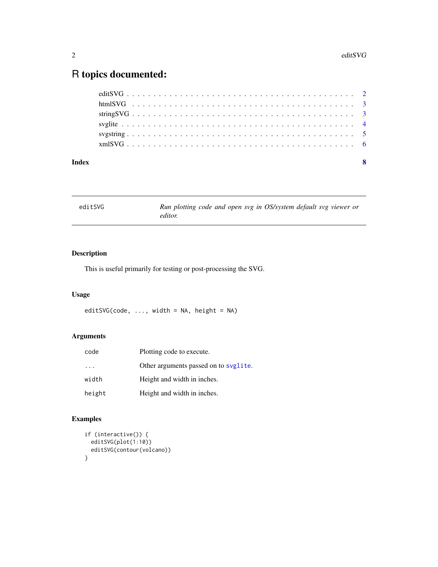# <span id="page-1-0"></span>R topics documented:

| Index |  |  |  |  |  |  |  |  |  |  |  |  |  |  |  |  |  |  | $\mathbf{8}$ |
|-------|--|--|--|--|--|--|--|--|--|--|--|--|--|--|--|--|--|--|--------------|
|       |  |  |  |  |  |  |  |  |  |  |  |  |  |  |  |  |  |  |              |
|       |  |  |  |  |  |  |  |  |  |  |  |  |  |  |  |  |  |  |              |
|       |  |  |  |  |  |  |  |  |  |  |  |  |  |  |  |  |  |  |              |
|       |  |  |  |  |  |  |  |  |  |  |  |  |  |  |  |  |  |  |              |
|       |  |  |  |  |  |  |  |  |  |  |  |  |  |  |  |  |  |  |              |
|       |  |  |  |  |  |  |  |  |  |  |  |  |  |  |  |  |  |  |              |

| editSVG | Run plotting code and open svg in OS/system default svg viewer or |
|---------|-------------------------------------------------------------------|
|         | editor.                                                           |

#### Description

This is useful primarily for testing or post-processing the SVG.

### Usage

editSVG(code, ..., width = NA, height = NA)

#### Arguments

| code      | Plotting code to execute.             |
|-----------|---------------------------------------|
| $\cdot$ . | Other arguments passed on to syglite. |
| width     | Height and width in inches.           |
| height    | Height and width in inches.           |

#### Examples

```
if (interactive()) {
  editSVG(plot(1:10))
  editSVG(contour(volcano))
}
```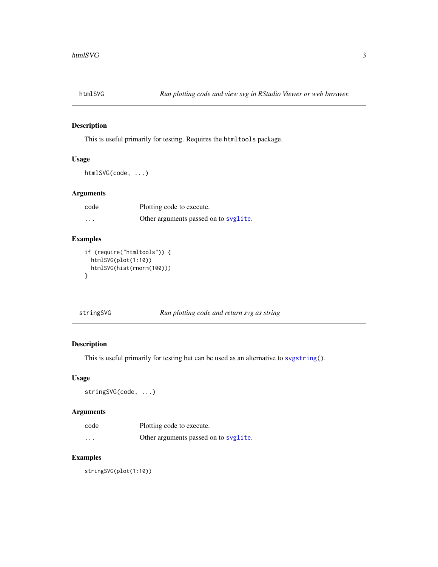<span id="page-2-0"></span>

#### Description

This is useful primarily for testing. Requires the htmltools package.

#### Usage

htmlSVG(code, ...)

#### Arguments

| code     | Plotting code to execute.             |
|----------|---------------------------------------|
| $\cdots$ | Other arguments passed on to svglite. |

#### Examples

```
if (require("htmltools")) {
 htmlSVG(plot(1:10))
 htmlSVG(hist(rnorm(100)))
}
```

| stringSVG | Run plotting code and return svg as string |
|-----------|--------------------------------------------|
|-----------|--------------------------------------------|

#### Description

This is useful primarily for testing but can be used as an alternative to [svgstring\(](#page-4-1)).

#### Usage

```
stringSVG(code, ...)
```
#### Arguments

| code     | Plotting code to execute.             |
|----------|---------------------------------------|
| $\cdots$ | Other arguments passed on to syglite. |

#### Examples

stringSVG(plot(1:10))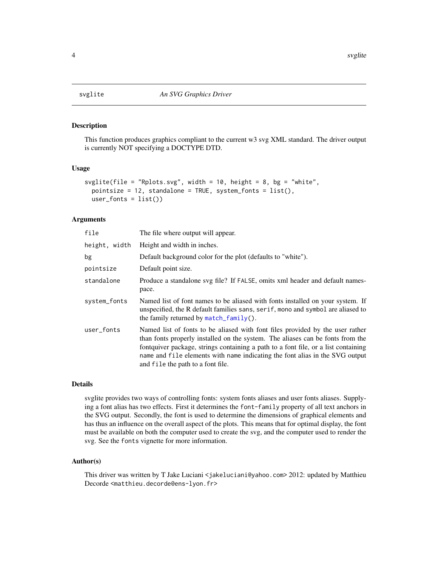<span id="page-3-1"></span><span id="page-3-0"></span>

#### **Description**

This function produces graphics compliant to the current w3 svg XML standard. The driver output is currently NOT specifying a DOCTYPE DTD.

#### Usage

```
svglite(file = "Rplots.svg", width = 10, height = 8, bg = "white",
 pointsize = 12, standalone = TRUE, system_fonts = list(),
 user_fonts = list()
```
#### Arguments

| file          | The file where output will appear.                                                                                                                                                                                                                                                                                                                                         |
|---------------|----------------------------------------------------------------------------------------------------------------------------------------------------------------------------------------------------------------------------------------------------------------------------------------------------------------------------------------------------------------------------|
| height, width | Height and width in inches.                                                                                                                                                                                                                                                                                                                                                |
| bg            | Default background color for the plot (defaults to "white").                                                                                                                                                                                                                                                                                                               |
| pointsize     | Default point size.                                                                                                                                                                                                                                                                                                                                                        |
| standalone    | Produce a standalone svg file? If FALSE, omits xml header and default names-<br>pace.                                                                                                                                                                                                                                                                                      |
| system_fonts  | Named list of font names to be aliased with fonts installed on your system. If<br>unspecified, the R default families sans, serif, mono and symbol are aliased to<br>the family returned by $match_family()$ .                                                                                                                                                             |
| user_fonts    | Named list of fonts to be aliased with font files provided by the user rather<br>than fonts properly installed on the system. The aliases can be fonts from the<br>fontquiver package, strings containing a path to a font file, or a list containing<br>name and file elements with name indicating the font alias in the SVG output<br>and file the path to a font file. |

#### Details

svglite provides two ways of controlling fonts: system fonts aliases and user fonts aliases. Supplying a font alias has two effects. First it determines the font-family property of all text anchors in the SVG output. Secondly, the font is used to determine the dimensions of graphical elements and has thus an influence on the overall aspect of the plots. This means that for optimal display, the font must be available on both the computer used to create the svg, and the computer used to render the svg. See the fonts vignette for more information.

#### Author(s)

This driver was written by T Jake Luciani <jakeluciani@yahoo.com> 2012: updated by Matthieu Decorde <matthieu.decorde@ens-lyon.fr>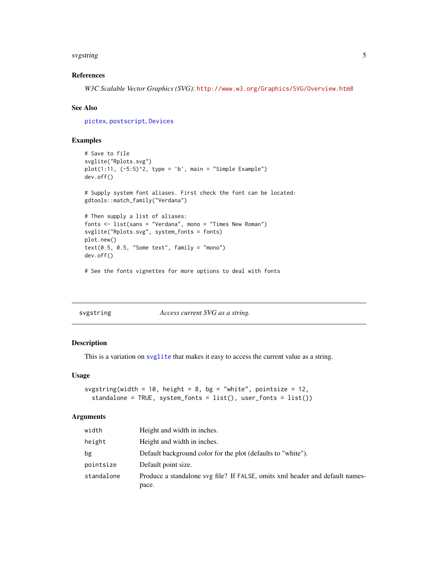#### <span id="page-4-0"></span>svgstring 5

#### References

*W3C Scalable Vector Graphics (SVG)*: <http://www.w3.org/Graphics/SVG/Overview.htm8>

#### See Also

[pictex](#page-0-0), [postscript](#page-0-0), [Devices](#page-0-0)

#### Examples

```
# Save to file
svglite("Rplots.svg")
plot(1:11, (-5:5)^2, type = 'b', main = "Simple Example")dev.off()
# Supply system font aliases. First check the font can be located:
gdtools::match_family("Verdana")
# Then supply a list of aliases:
fonts <- list(sans = "Verdana", mono = "Times New Roman")
svglite("Rplots.svg", system_fonts = fonts)
plot.new()
text(0.5, 0.5, "Some text", family = "mono")dev.off()
# See the fonts vignettes for more options to deal with fonts
```
<span id="page-4-1"></span>

| svgstring | Access current SVG as a string. |
|-----------|---------------------------------|
|-----------|---------------------------------|

#### Description

This is a variation on [svglite](#page-3-1) that makes it easy to access the current value as a string.

#### Usage

```
svgstring(width = 10, height = 8, bg = "white", pointsize = 12,
  standalone = TRUE, system_fonts = list(), user_fonts = list())
```
#### Arguments

| width      | Height and width in inches.                                                  |
|------------|------------------------------------------------------------------------------|
| height     | Height and width in inches.                                                  |
| bg         | Default background color for the plot (defaults to "white").                 |
| pointsize  | Default point size.                                                          |
| standalone | Produce a standalone svg file? If FALSE, omits xml header and default names- |
|            | pace.                                                                        |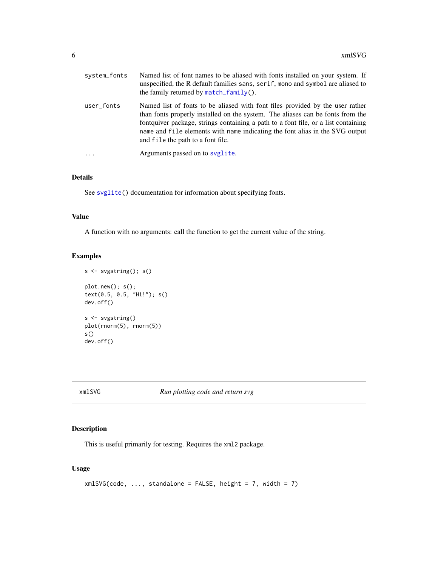<span id="page-5-0"></span>

| system_fonts | Named list of font names to be aliased with fonts installed on your system. If<br>unspecified, the R default families sans, serif, mono and symbol are aliased to<br>the family returned by $match_family()$ .                                                                                                                                                             |
|--------------|----------------------------------------------------------------------------------------------------------------------------------------------------------------------------------------------------------------------------------------------------------------------------------------------------------------------------------------------------------------------------|
| user_fonts   | Named list of fonts to be aliased with font files provided by the user rather<br>than fonts properly installed on the system. The aliases can be fonts from the<br>fontquiver package, strings containing a path to a font file, or a list containing<br>name and file elements with name indicating the font alias in the SVG output<br>and file the path to a font file. |
|              | Arguments passed on to syglite.                                                                                                                                                                                                                                                                                                                                            |
|              |                                                                                                                                                                                                                                                                                                                                                                            |

#### Details

See [svglite\(](#page-3-1)) documentation for information about specifying fonts.

#### Value

A function with no arguments: call the function to get the current value of the string.

#### Examples

```
s <- svgstring(); s()
plot.new(); s();
text(0.5, 0.5, "Hi!"); s()
dev.off()
s <- svgstring()
plot(rnorm(5), rnorm(5))
s()
dev.off()
```
xmlSVG *Run plotting code and return svg*

#### Description

This is useful primarily for testing. Requires the xml2 package.

#### Usage

```
xmlSVG(code, ..., standardone = FALSE, height = 7, width = 7)
```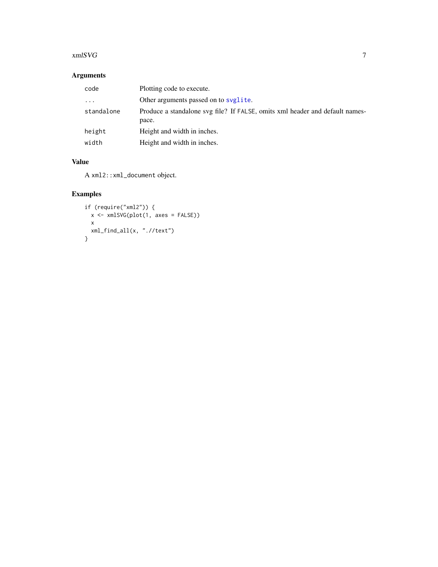#### <span id="page-6-0"></span>xmlSVG 7

# Arguments

| code       | Plotting code to execute.                                                             |
|------------|---------------------------------------------------------------------------------------|
| $\cdot$    | Other arguments passed on to syglite.                                                 |
| standalone | Produce a standalone svg file? If FALSE, omits xml header and default names-<br>pace. |
| height     | Height and width in inches.                                                           |
| width      | Height and width in inches.                                                           |

### Value

A xml2::xml\_document object.

# Examples

```
if (require("xml2")) {
  x <- xmlSVG(plot(1, axes = FALSE))
 x
 xml_find_all(x, ".//text")
}
```